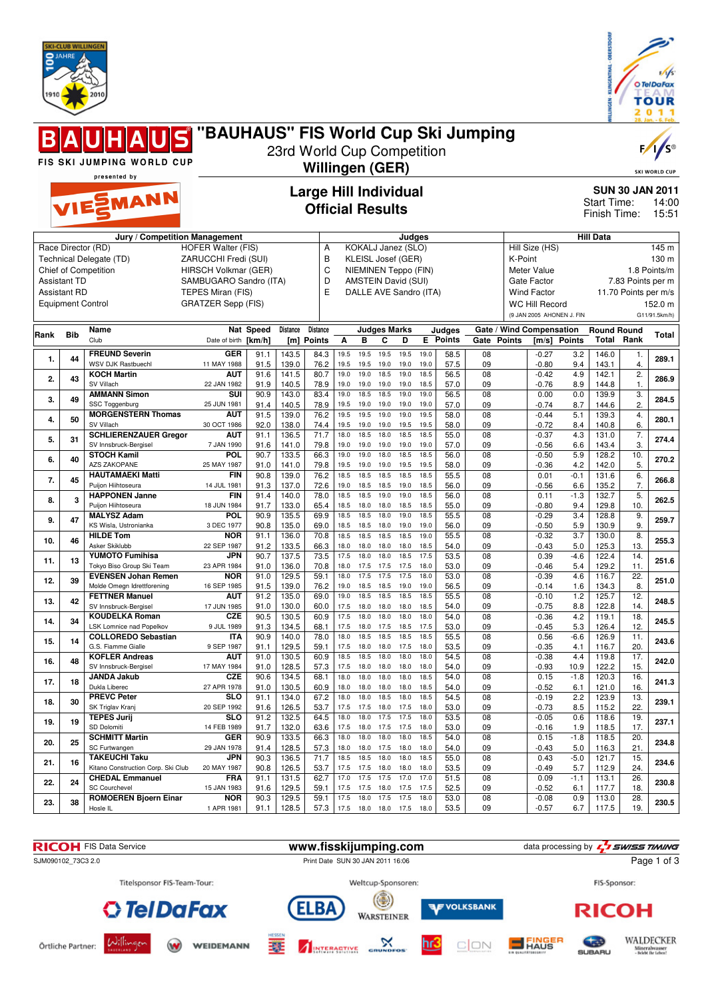



|      |                                                                        |                                                                       |                                                                                                                                                       |              |                            |                                                         |                      |                                                                                                                          |                      |                      |                      |                      |                                    |                        |                                                                                                                          |               |                         |                                           | v<br>28. Jan. - 6. Feb                                     |
|------|------------------------------------------------------------------------|-----------------------------------------------------------------------|-------------------------------------------------------------------------------------------------------------------------------------------------------|--------------|----------------------------|---------------------------------------------------------|----------------------|--------------------------------------------------------------------------------------------------------------------------|----------------------|----------------------|----------------------|----------------------|------------------------------------|------------------------|--------------------------------------------------------------------------------------------------------------------------|---------------|-------------------------|-------------------------------------------|------------------------------------------------------------|
|      |                                                                        | FIS SKI JUMPING WORLD CUP                                             | "BAUHAUS" FIS World Cup Ski Jumping                                                                                                                   |              | 23rd World Cup Competition | Willingen (GER)                                         |                      |                                                                                                                          |                      |                      |                      |                      |                                    |                        |                                                                                                                          |               |                         |                                           | $F / \sqrt{S^{\circ}}$<br><b>SKI WORLD CUP</b>             |
|      |                                                                        | presented by                                                          |                                                                                                                                                       |              |                            |                                                         |                      |                                                                                                                          |                      |                      |                      |                      |                                    |                        |                                                                                                                          |               |                         |                                           |                                                            |
|      |                                                                        | VIESMANN                                                              |                                                                                                                                                       |              |                            | <b>Large Hill Individual</b><br><b>Official Results</b> |                      |                                                                                                                          |                      |                      |                      |                      | <b>Start Time:</b><br>Finish Time: | <b>SUN 30 JAN 2011</b> | 14:00<br>15:51                                                                                                           |               |                         |                                           |                                                            |
|      |                                                                        | Jury / Competition Management                                         |                                                                                                                                                       |              |                            |                                                         |                      |                                                                                                                          |                      | Judges               |                      |                      |                                    |                        |                                                                                                                          |               | <b>Hill Data</b>        |                                           |                                                            |
|      | <b>Assistant TD</b><br><b>Assistant RD</b><br><b>Equipment Control</b> | Race Director (RD)<br>Technical Delegate (TD)<br>Chief of Competition | <b>HOFER Walter (FIS)</b><br>ZARUCCHI Fredi (SUI)<br>HIRSCH Volkmar (GER)<br>SAMBUGARO Sandro (ITA)<br>TEPES Miran (FIS)<br><b>GRATZER Sepp (FIS)</b> |              |                            | Α<br>B<br>C<br>D<br>E                                   |                      | KOKALJ Janez (SLO)<br>KLEISL Josef (GER)<br>NIEMINEN Teppo (FIN)<br><b>AMSTEIN David (SUI)</b><br>DALLE AVE Sandro (ITA) |                      |                      |                      |                      |                                    | K-Point                | Hill Size (HS)<br>Meter Value<br>Gate Factor<br><b>Wind Factor</b><br><b>WC Hill Record</b><br>(9 JAN 2005 AHONEN J. FIN |               |                         | 7.83 Points per m<br>11.70 Points per m/s | 145 m<br>130 m<br>1.8 Points/m<br>152.0 m<br>G11/91.5km/h) |
| Rank | <b>Bib</b>                                                             | Name                                                                  |                                                                                                                                                       | Nat Speed    | Distance                   | <b>Distance</b>                                         |                      | <b>Judges Marks</b>                                                                                                      |                      |                      |                      | Judges               |                                    |                        | Gate / Wind Compensation                                                                                                 |               | <b>Round Round</b>      |                                           | Total                                                      |
|      |                                                                        | Club                                                                  | Date of birth [km/h]                                                                                                                                  |              |                            | [m] Points                                              | A                    | в                                                                                                                        | C                    | D                    |                      | <b>E</b> Points      | Gate Points                        |                        |                                                                                                                          | [m/s] Points  | Total                   | Rank                                      |                                                            |
| 1.   | 44                                                                     | <b>FREUND Severin</b><br><b>WSV DJK Rastbuechl</b>                    | <b>GER</b><br>11 MAY 1988                                                                                                                             | 91.1<br>91.5 | 143.5<br>139.0             | 84.3<br>76.2                                            | 19.5<br>19.5         | 19.5<br>19.5                                                                                                             | 19.5<br>19.0         | 19.5<br>19.0         | 19.0<br>19.0         | 58.5<br>57.5         | 08<br>09                           |                        | $-0.27$<br>$-0.80$                                                                                                       | 3.2<br>9.4    | 146.0<br>143.1          | 1.<br>4.                                  | 289.1                                                      |
| 2.   | 43                                                                     | <b>KOCH Martin</b>                                                    | <b>AUT</b>                                                                                                                                            | 91.6         | 141.5                      | 80.7                                                    | 19.0                 | 19.0                                                                                                                     | 18.5                 | 19.0                 | 18.5                 | 56.5                 | 08                                 |                        | $-0.42$                                                                                                                  | 4.9           | 142.1                   | 2.                                        | 286.9                                                      |
|      |                                                                        | SV Villach<br><b>AMMANN Simon</b>                                     | 22 JAN 1982<br>SUI                                                                                                                                    | 91.9<br>90.9 | 140.5<br>143.0             | 78.9<br>83.4                                            | 19.0<br>19.0         | 19.0<br>18.5                                                                                                             | 19.0<br>18.5         | 19.0<br>19.0         | 18.5<br>19.0         | 57.0<br>56.5         | 09<br>08                           |                        | $-0.76$<br>0.00                                                                                                          | 8.9<br>0.0    | 144.8<br>139.9          | $\mathbf{1}$ .<br>3.                      |                                                            |
| 3.   | 49                                                                     | SSC Toggenburg<br><b>MORGENSTERN Thomas</b>                           | 25 JUN 1981<br><b>AUT</b>                                                                                                                             | 91.4<br>91.5 | 140.5<br>139.0             | 78.9<br>76.2                                            | 19.5<br>19.5         | 19.0<br>19.5                                                                                                             | 19.0<br>19.0         | 19.0<br>19.0         | 19.0<br>19.5         | 57.0<br>58.0         | 09<br>08                           |                        | $-0.74$<br>$-0.44$                                                                                                       | 8.7<br>5.1    | 144.6<br>139.3          | 2.<br>4.                                  | 284.5                                                      |
| 4.   | 50                                                                     | SV Villach                                                            | 30 OCT 1986                                                                                                                                           | 92.0         | 138.0                      | 74.4                                                    | 19.5                 | 19.0                                                                                                                     | 19.0                 | 19.5                 | 19.5                 | 58.0                 | 09                                 |                        | $-0.72$                                                                                                                  | 8.4           | 140.8                   | 6.                                        | 280.1                                                      |
| 5.   | 31                                                                     | <b>SCHLIERENZAUER Gregor</b><br>SV Innsbruck-Bergisel                 | <b>AUT</b><br>7 JAN 1990                                                                                                                              | 91.1<br>91.6 | 136.5<br>141.0             | $\overline{71.7}$<br>79.8                               | 18.0<br>19.0         | 18.5<br>19.0                                                                                                             | 18.0<br>19.0         | 18.5<br>19.0         | 18.5<br>19.0         | 55.0<br>57.0         | 08<br>09                           |                        | $-0.37$<br>$-0.56$                                                                                                       | 4.3<br>6.6    | 131.0<br>143.4          | 7.<br>3.                                  | 274.4                                                      |
| 6.   | 40                                                                     | <b>STOCH Kamil</b><br>AZS ZAKOPANE                                    | POL                                                                                                                                                   | 90.7<br>91.0 | 133.5                      | 66.3                                                    | 19.0                 | 19.0                                                                                                                     | 18.0                 | 18.5                 | 18.5                 | 56.0                 | 08                                 |                        | $-0.50$                                                                                                                  | 5.9<br>4.2    | 128.2                   | 10.                                       | 270.2                                                      |
| 7.   | 45                                                                     | <b>HAUTAMAEKI Matti</b><br>Puijon Hiihtoseura                         | 25 MAY 1987<br><b>FIN</b><br>14 JUL 1981                                                                                                              | 90.8<br>91.3 | 141.0<br>139.0<br>137.0    | 79.8<br>76.2<br>72.6                                    | 19.5<br>18.5<br>19.0 | 19.0<br>18.5<br>18.5                                                                                                     | 19.0<br>18.5<br>18.5 | 19.5<br>18.5<br>19.0 | 19.5<br>18.5<br>18.5 | 58.0<br>55.5<br>56.0 | 09<br>08<br>09                     |                        | $-0.36$<br>0.01<br>$-0.56$                                                                                               | $-0.1$<br>6.6 | 142.0<br>131.6<br>135.2 | 5.<br>6.<br>7.                            | 266.8                                                      |
| 8.   | 3                                                                      | <b>HAPPONEN Janne</b>                                                 | <b>FIN</b>                                                                                                                                            | 91.4         | 140.0                      | 78.0                                                    | 18.5                 | 18.5                                                                                                                     | 19.0                 | 19.0                 | 18.5                 | 56.0                 | 08                                 |                        | 0.11                                                                                                                     | $-1.3$        | 132.7                   | 5.                                        | 262.5                                                      |
| 9.   | 47                                                                     | Puijon Hiihtoseura<br><b>MALYSZ Adam</b>                              | 18 JUN 1984<br>POL                                                                                                                                    | 91.7<br>90.9 | 133.0<br>135.5             | 65.4<br>69.9                                            | 18.5<br>18.5         | 18.0<br>18.5                                                                                                             | 18.0<br>18.0         | 18.5<br>19.0         | 18.5<br>18.5         | 55.0<br>55.5         | 09<br>08                           |                        | $-0.80$<br>$-0.29$                                                                                                       | 9.4<br>3.4    | 129.8<br>128.8          | 10.<br>9.                                 | 259.7                                                      |
|      |                                                                        | KS Wisla, Ustronianka<br><b>HILDE Tom</b>                             | 3 DEC 1977<br><b>NOR</b>                                                                                                                              | 90.8<br>91.1 | 135.0<br>136.0             | 69.0<br>70.8                                            | 18.5<br>18.5         | 18.5<br>18.5                                                                                                             | 18.0<br>18.5         | 19.0<br>18.5         | 19.0<br>19.0         | 56.0<br>55.5         | 09<br>08                           |                        | $-0.50$<br>$-0.32$                                                                                                       | 5.9<br>3.7    | 130.9<br>130.0          | 9.<br>8.                                  |                                                            |
| 10.  | 46                                                                     | Asker Skiklubb                                                        | 22 SEP 1987                                                                                                                                           | 91.2         | 133.5                      | 66.3                                                    | 18.0                 | 18.0                                                                                                                     | 18.0                 | 18.0                 | 18.5                 | 54.0                 | 09                                 |                        | $-0.43$                                                                                                                  | 5.0           | 125.3                   | 13.                                       | 255.3                                                      |
| 11.  | 13                                                                     | <b>YUMOTO Fumihisa</b><br>Tokyo Biso Group Ski Team                   | JPN<br>23 APR 1984                                                                                                                                    | 90.7<br>91.0 | 137.5<br>136.0             | 73.5<br>70.8                                            | 17.5<br>18.0         | 18.0<br>17.5                                                                                                             | 18.0<br>17.5         | 18.5<br>17.5         | 17.5<br>18.0         | 53.5<br>53.0         | 08<br>09                           |                        | 0.39<br>$-0.46$                                                                                                          | $-4.6$<br>5.4 | 122.4<br>129.2          | 14.<br>11.                                | 251.6                                                      |
| 12.  | 39                                                                     | <b>EVENSEN Johan Remen</b>                                            | <b>NOR</b>                                                                                                                                            | 91.0         | 129.5                      | 59.1                                                    | 18.0                 | 17.5                                                                                                                     | 17.5                 | 17.5                 | 18.0                 | 53.0                 | 08                                 |                        | $-0.39$                                                                                                                  | 4.6           | 116.7                   | 22.                                       | 251.0                                                      |
|      |                                                                        | Molde Omegn Idrettforening<br><b>FETTNER Manuel</b>                   | 16 SEP 1985<br><b>AUT</b>                                                                                                                             | 91.5<br>91.2 | 139.0<br>135.0             | 76.2<br>69.0                                            | 19.0<br>19.0         | 18.5<br>18.5                                                                                                             | 18.5<br>18.5         | 19.0<br>18.5         | 19.0<br>18.5         | 56.5<br>55.5         | 09<br>08                           |                        | $-0.14$<br>$-0.10$                                                                                                       | 1.6<br>1.2    | 134.3<br>125.7          | 8.<br>12.                                 |                                                            |
| 13.  | 42                                                                     | SV Innsbruck-Bergisel                                                 | 17 JUN 1985                                                                                                                                           | 91.0         | 130.0                      | 60.0                                                    | 17.5                 | 18.0                                                                                                                     | 18.0                 | 18.0                 | 18.5                 | 54.0                 | 09                                 |                        | $-0.75$                                                                                                                  | 8.8           | 122.8                   | 14.                                       | 248.5                                                      |
| 14.  | 34                                                                     | <b>KOUDELKA Roman</b><br>LSK Lomnice nad Popelkov                     | <b>CZE</b><br>9 JUL 1989                                                                                                                              | 90.5<br>91.3 | 130.5<br>134.5             | 60.9<br>68.1                                            | 17.5<br>17.5         | 18.0<br>18.0                                                                                                             | 18.0<br>17.5         | 18.0<br>18.5         | 18.0<br>17.5         | 54.0<br>53.0         | 08<br>09                           |                        | $-0.36$<br>$-0.45$                                                                                                       | 4.2<br>5.3    | 119.1<br>126.4          | 18.<br>12.                                | 245.5                                                      |
| 15.  | 14                                                                     | <b>COLLOREDO Sebastian</b><br>G.S. Flamme Gialle                      | <b>ITA</b><br>9 SEP 1987                                                                                                                              | 90.9<br>91.1 | 140.0<br>129.5             | 78.0<br>59.1                                            | 18.0<br>17.5         | 18.5<br>18.0                                                                                                             | 18.5<br>18.0         | 18.5<br>17.5         | 18.5<br>18.0         | 55.5<br>53.5         | 08<br>09                           |                        | 0.56<br>-0.35                                                                                                            | $-6.6$<br>4.1 | 126.9<br>116.7          | 11.<br>20.                                | 243.6                                                      |
| 16.  | 48                                                                     | <b>KOFLER Andreas</b><br>SV Innsbruck-Bergisel                        | <b>AUT</b><br>17 MAY 1984                                                                                                                             | 91.0<br>91.0 | 130.5<br>128.5             | 60.9<br>57.3                                            | 18.5<br>17.5         | 18.5<br>18.0                                                                                                             | 18.0<br>18.0         | 18.0<br>18.0         | 18.0<br>18.0         | 54.5<br>54.0         | 08<br>09                           |                        | $-0.38$<br>$-0.93$                                                                                                       | 4.4<br>10.9   | 119.8<br>122.2          | 17.<br>15.                                | 242.0                                                      |
| 17.  | 18                                                                     | <b>JANDA Jakub</b><br>Dukla Liberec                                   | <b>CZE</b><br>27 APR 1978                                                                                                                             | 90.6<br>91.0 | 134.5<br>130.5             | 68.1<br>60.9                                            | 18.0<br>18.0         | 18.0<br>18.0                                                                                                             | 18.0<br>18.0         | 18.0<br>18.0         | 18.5<br>18.5         | 54.0<br>54.0         | 08<br>09                           |                        | 0.15<br>$-0.52$                                                                                                          | $-1.8$<br>6.1 | 120.3<br>121.0          | 16.<br>16.                                | 241.3                                                      |
| 18.  | 30                                                                     | <b>PREVC Peter</b>                                                    | <b>SLO</b>                                                                                                                                            | 91.1         | 134.0                      | 67.2                                                    | 18.0                 | 18.0                                                                                                                     | 18.5                 | 18.0                 | 18.5                 | 54.5                 | 08                                 |                        | $-0.19$                                                                                                                  | 2.2           | 123.9                   | 13.                                       | 239.1                                                      |
|      |                                                                        | SK Triglav Kranj<br><b>TEPES Jurij</b>                                | 20 SEP 1992<br><b>SLO</b>                                                                                                                             | 91.6<br>91.2 | 126.5<br>132.5             | 53.7<br>64.5                                            | 17.5<br>18.0         | 17.5 18.0<br>18.0                                                                                                        | 17.5                 | 17.5<br>17.5         | 18.0<br>18.0         | 53.0<br>53.5         | 09<br>08                           |                        | $-0.73$<br>$-0.05$                                                                                                       | 8.5<br>0.6    | 115.2<br>118.6          | 22.<br>19.                                |                                                            |
| 19.  | 19                                                                     | SD Dolomiti<br><b>SCHMITT Martin</b>                                  | 14 FEB 1989<br>GER                                                                                                                                    | 91.7<br>90.9 | 132.0<br>133.5             | 63.6<br>66.3                                            | 17.5<br>18.0         | 18.0 17.5 17.5<br>18.0                                                                                                   | 18.0                 | 18.0                 | 18.0<br>18.5         | 53.0<br>54.0         | 09<br>08                           |                        | $-0.16$<br>0.15                                                                                                          | 1.9<br>$-1.8$ | 118.5<br>118.5          | 17.<br>20.                                | 237.1                                                      |
| 20.  | 25                                                                     | SC Furtwangen                                                         | 29 JAN 1978                                                                                                                                           | 91.4         | 128.5                      | 57.3                                                    | 18.0                 | 18.0 17.5                                                                                                                |                      | 18.0                 | 18.0                 | 54.0                 | 09                                 |                        | -0.43                                                                                                                    | 5.0           | 116.3                   | 21.                                       | 234.8                                                      |
| 21.  | 16                                                                     | <b>TAKEUCHI Taku</b><br>Kitano Construction Corp. Ski Club            | JPN<br>20 MAY 1987                                                                                                                                    | 90.3<br>90.8 | 136.5<br>126.5             | 71.7<br>53.7                                            | 18.5<br>17.5         | 18.5<br>17.5                                                                                                             | 18.0<br>18.0         | 18.0<br>18.0         | 18.5<br>18.0         | 55.0<br>53.5         | 08<br>09                           |                        | 0.43<br>$-0.49$                                                                                                          | $-5.0$<br>5.7 | 121.7<br>112.9          | 15.<br>24.                                | 234.6                                                      |
| 22.  | 24                                                                     | <b>CHEDAL Emmanuel</b>                                                | <b>FRA</b>                                                                                                                                            | 91.1         | 131.5                      | 62.7                                                    | 17.0                 | 17.5 17.5                                                                                                                |                      | 17.0                 | 17.0                 | 51.5                 | 08                                 |                        | 0.09                                                                                                                     | $-1.1$        | 113.1                   | 26.                                       | 230.8                                                      |
|      |                                                                        | <b>SC Courchevel</b><br><b>ROMOEREN Bjoern Einar</b>                  | 15 JAN 1983<br><b>NOR</b>                                                                                                                             | 91.6<br>90.3 | 129.5                      | 59.1<br>59.1                                            | 17.5<br>17.5         | 17.5<br>18.0                                                                                                             | 18.0<br>17.5         | 17.5<br>17.5         | 17.5<br>18.0         | 52.5<br>53.0         | 09<br>08                           |                        | $-0.52$<br>$-0.08$                                                                                                       | 6.1<br>0.9    | 117.7<br>113.0          | 18.<br>28.                                |                                                            |
| 23.  | 38                                                                     | Hosle IL                                                              | 1 APR 1981                                                                                                                                            | 91.1         | 129.5<br>128.5             | 57.3                                                    |                      | 17.5 18.0 18.0                                                                                                           |                      | 17.5                 | 18.0                 | 53.5                 | 09                                 |                        | $-0.57$                                                                                                                  | 6.7           | 117.5                   | 19.                                       | 230.5                                                      |

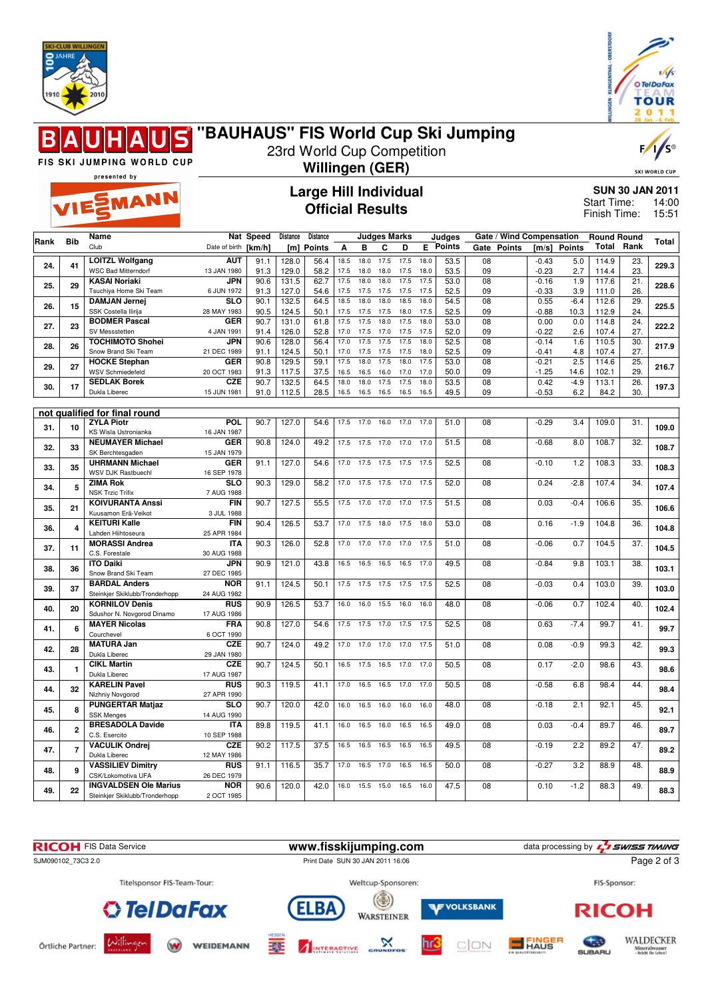



F/

ς

## **"BAUHAUS" FIS World Cup Ski Jumping**  $\blacksquare$ 23rd World Cup Competition

FIS SKI JUMPING WORLD CUP

## presented by EMANN

## **Large Hill Individual Official Results**

**Willingen (GER)**

SKI WORLD CUP **SUN 30 JAN 2011** Start Time: 14:00

15:51 Finish Time:

|      | <b>Bib</b>                    | Name                                                   |                           | Nat Speed    | Distance       | Distance      |              |              | <b>Judges Marks</b> |              |              | Judges        |                 | Gate / Wind Compensation |                    |                  | <b>Round Round</b> |                   | <b>Total</b> |
|------|-------------------------------|--------------------------------------------------------|---------------------------|--------------|----------------|---------------|--------------|--------------|---------------------|--------------|--------------|---------------|-----------------|--------------------------|--------------------|------------------|--------------------|-------------------|--------------|
| Rank |                               | Club                                                   | Date of birth [km/h]      |              | [ml]           | <b>Points</b> | Α            | в            | C                   | D            | E            | <b>Points</b> |                 | Gate Points              |                    | [m/s] Points     | Total              | Rank              |              |
|      |                               | <b>LOITZL Wolfgang</b>                                 | <b>AUT</b>                | 91.1         | 128.0          | 56.4          | 18.5         | 18.0         | 17.5                | 17.5         | 18.0         | 53.5          | $\overline{08}$ |                          | $-0.43$            | 5.0              | 114.9              | 23.               |              |
| 24.  | 41                            | <b>WSC Bad Mitterndorf</b>                             | 13 JAN 1980               | 91.3         | 129.0          | 58.2          | 17.5         | 18.0         | 18.0                | 17.5         | 18.0         | 53.5          | 09              |                          | $-0.23$            | 2.7              | 114.4              | 23.               | 229.3        |
| 25.  | 29                            | <b>KASAI Noriaki</b>                                   | JPN                       | 90.6         | 131.5          | 62.7          | 17.5         | 18.0         | 18.0                | 17.5         | 17.5         | 53.0          | 08              |                          | $-0.16$            | 1.9              | 117.6              | $\overline{21}$   | 228.6        |
|      |                               | Tsuchiya Home Ski Team                                 | 6 JUN 1972                | 91.3         | 127.0          | 54.6          | 17.5         | 17.5         | 17.5                | 17.5         | 17.5         | 52.5          | 09              |                          | $-0.33$            | 3.9              | 111.0              | 26.               |              |
| 26.  | 15                            | <b>DAMJAN Jernej</b>                                   | <b>SLO</b>                | 90.1         | 132.5          | 64.5          | 18.5         | 18.0         | 18.0                | 18.5         | 18.0         | 54.5          | $\overline{08}$ |                          | 0.55               | $-6.4$           | 112.6              | 29.               | 225.5        |
|      |                               | SSK Costella Ilirija                                   | 28 MAY 1983               | 90.5         | 124.5          | 50.1          | 17.5         | 17.5         | 17.5                | 18.0         | 17.5         | 52.5          | 09              |                          | $-0.88$            | 10.3             | 112.9              | 24.               |              |
| 27.  | 23                            | <b>BODMER Pascal</b>                                   | <b>GER</b>                | 90.7         | 131.0          | 61.8          | 17.5         | 17.5         | 18.0                | 17.5         | 18.0         | 53.0          | 08              |                          | 0.00               | 0.0              | 114.8              | 24.               | 222.2        |
|      |                               | SV Messstetten                                         | 4 JAN 1991                | 91.4         | 126.0          | 52.8          | 17.0         | 17.5         | 17.0                | 17.5         | 17.5         | 52.0          | 09              |                          | $-0.22$            | 2.6              | 107.4              | 27.               |              |
| 28.  | 26                            | <b>TOCHIMOTO Shohei</b><br>Snow Brand Ski Team         | JPN<br>21 DEC 1989        | 90.6<br>91.1 | 128.0<br>124.5 | 56.4<br>50.1  | 17.0<br>17.0 | 17.5<br>17.5 | 17.5<br>17.5        | 17.5<br>17.5 | 18.0<br>18.0 | 52.5<br>52.5  | 08<br>09        |                          | $-0.14$<br>$-0.41$ | 1.6<br>4.8       | 110.5<br>107.4     | 30.<br>27.        | 217.9        |
|      |                               | <b>HOCKE Stephan</b>                                   | <b>GER</b>                | 90.8         | 129.5          | 59.1          | 17.5         | 18.0         | 17.5                | 18.0         | 17.5         | 53.0          | 08              |                          | $-0.21$            | 2.5              | 114.6              | 25.               |              |
| 29.  | 27                            | WSV Schmiedefeld                                       | 20 OCT 1983               | 91.3         | 117.5          | 37.5          | 16.5         | 16.5         | 16.0                | 17.0         | 17.0         | 50.0          | 09              |                          | $-1.25$            | 14.6             | 102.1              | 29.               | 216.7        |
|      |                               | <b>SEDLAK Borek</b>                                    | <b>CZE</b>                | 90.7         | 132.5          | 64.5          | 18.0         | 18.0         | 17.5                | 17.5         | 18.0         | 53.5          | $\overline{08}$ |                          | 0.42               | $-4.9$           | 113.1              | $\overline{26}$ . |              |
| 30.  | 17                            | Dukla Liberec                                          | 15 JUN 1981               | 91.0         | 112.5          | 28.5          | 16.5         | 16.5         | 16.5                | 16.5         | 16.5         | 49.5          | 09              |                          | $-0.53$            | 6.2              | 84.2               | 30.               | 197.3        |
|      |                               |                                                        |                           |              |                |               |              |              |                     |              |              |               |                 |                          |                    |                  |                    |                   |              |
|      | not qualified for final round |                                                        |                           |              |                |               |              |              |                     |              |              |               |                 |                          |                    |                  |                    |                   |              |
| 31.  | 10                            | <b>ZYLA Piotr</b>                                      | <b>POL</b>                | 90.7         | 127.0          | 54.6          | 17.5         | 17.0         | 16.0                | 17.0         | 17.0         | 51.0          | 08              |                          | $-0.29$            | 3.4              | 109.0              | 31.               | 109.0        |
|      |                               | KS Wisla Ustronianka                                   | 16 JAN 1987               |              |                |               |              |              |                     |              |              |               |                 |                          |                    |                  |                    |                   |              |
| 32.  | 33                            | <b>NEUMAYER Michael</b>                                | <b>GER</b>                | 90.8         | 124.0          | 49.2          | 17.5         | 17.5         | 17.0                | 17.0         | 17.0         | 51.5          | 08              |                          | $-0.68$            | 8.0              | 108.7              | 32.               | 108.7        |
|      |                               | SK Berchtesgaden                                       | 15 JAN 1979               |              |                |               |              |              |                     |              |              |               |                 |                          |                    |                  |                    |                   |              |
| 33.  | 35                            | <b>UHRMANN Michael</b><br><b>WSV DJK Rastbuechl</b>    | <b>GER</b><br>16 SEP 1978 | 91.1         | 127.0          | 54.6          | 17.0         | 17.5         | 17.5                | 17.5         | 17.5         | 52.5          | 08              |                          | $-0.10$            | 1.2              | 108.3              | 33.               | 108.3        |
|      |                               | <b>ZIMA Rok</b>                                        | SLO                       | 90.3         | 129.0          | 58.2          | 17.0         | 17.5         | 17.5                | 17.0         | 17.5         | 52.0          | 08              |                          | 0.24               | $-2.8$           | 107.4              | 34.               |              |
| 34.  | 5                             | <b>NSK Trzic Trifix</b>                                | 7 AUG 1988                |              |                |               |              |              |                     |              |              |               |                 |                          |                    |                  |                    |                   | 107.4        |
|      |                               | <b>KOIVURANTA Anssi</b>                                | <b>FIN</b>                | 90.7         | 127.5          | 55.5          | 17.5         | 17.0         | 17.0                | 17.0         | 17.5         | 51.5          | 08              |                          | 0.03               | $-0.4$           | 106.6              | $\overline{35}$   |              |
| 35.  | 21                            | Kuusamon Erä-Veikot                                    | 3 JUL 1988                |              |                |               |              |              |                     |              |              |               |                 |                          |                    |                  |                    | 106.6             |              |
| 36.  | 4                             | <b>KEITURI Kalle</b>                                   | <b>FIN</b>                | 90.4         | 126.5          | 53.7          | 17.0         | 17.5         | 18.0                | 17.5         | 18.0         | 53.0          | 08              |                          | 0.16               | $-1.9$           | 104.8              | 36.               | 104.8        |
|      |                               | Lahden Hiihtoseura                                     | 25 APR 1984               |              |                |               |              |              |                     |              |              |               |                 |                          |                    |                  |                    |                   |              |
| 37.  | 11                            | <b>MORASSI Andrea</b>                                  | <b>ITA</b>                | 90.3         | 126.0          | 52.8          | 17.0         | 17.0         | 17.0                | 17.0         | 17.5         | 51.0          | 08              |                          | $-0.06$            | 0.7              | 104.5              | 37.               | 104.5        |
|      |                               | C.S. Forestale                                         | 30 AUG 1988               |              |                |               |              |              |                     |              |              |               |                 |                          |                    |                  |                    |                   |              |
| 38.  | 36                            | <b>ITO Daiki</b>                                       | <b>JPN</b>                | 90.9         | 121.0          | 43.8          | 16.5         | 16.5         | 16.5                | 16.5         | 17.0         | 49.5          | 08              |                          | $-0.84$            | 9.8              | 103.1              | 38.               | 103.1        |
|      |                               | Snow Brand Ski Team                                    | 27 DEC 1985               | 91.1         | 124.5          | 50.1          |              |              |                     |              |              | 52.5          | 08              |                          | $-0.03$            | 0.4              | 103.0              | 39.               |              |
| 39.  | 37                            | <b>BARDAL Anders</b><br>Steinkjer Skiklubb/Tronderhopp | <b>NOR</b><br>24 AUG 1982 |              |                |               | 17.5         | 17.5         | 17.5                | 17.5         | 17.5         |               |                 |                          |                    |                  |                    |                   | 103.0        |
|      |                               | <b>KORNILOV Denis</b>                                  | <b>RUS</b>                | 90.9         | 126.5          | 53.7          | 16.0         | 16.0         | 15.5                | 16.0         | 16.0         | 48.0          | 08              |                          | $-0.06$            | 0.7              | 102.4              | 40.               |              |
| 40.  | 20                            | Sdushor N. Novgorod Dinamo                             | 17 AUG 1986               |              |                |               |              |              |                     |              |              |               |                 |                          |                    |                  |                    |                   | 102.4        |
|      |                               | <b>MAYER Nicolas</b>                                   | <b>FRA</b>                | 90.8         | 127.0          | 54.6          | 17.5         | 17.5         | 17.0                | 17.5         | 17.5         | 52.5          | 08              |                          | 0.63               | $-7.4$           | 99.7               | 41.               |              |
| 41.  | 6                             | Courchevel                                             | 6 OCT 1990                |              |                |               |              |              |                     |              |              |               |                 |                          |                    |                  |                    |                   | 99.7         |
| 42.  | 28                            | <b>MATURA Jan</b>                                      | <b>CZE</b>                | 90.7         | 124.0          | 49.2          | 17.0         | 17.0         | 17.0                | 17.0         | 17.5         | 51.0          | 08              |                          | 0.08               | $-0.9$           | 99.3               | 42.               | 99.3         |
|      |                               | Dukla Liberec                                          | 29 JAN 1980               |              |                |               |              |              |                     |              |              |               |                 |                          |                    |                  |                    |                   |              |
| 43.  | $\mathbf{1}$                  | <b>CIKL Martin</b>                                     | <b>CZE</b>                | 90.7         | 124.5          | 50.1          | 16.5         | 17.5         | 16.5                | 17.0         | 17.0         | 50.5          | 08              |                          | 0.17               | $-2.0$           | 98.6               | 43.               | 98.6         |
|      |                               | Dukla Liberec                                          | 17 AUG 1987               |              |                |               |              |              |                     |              |              |               |                 |                          |                    |                  |                    |                   |              |
| 44.  | 32                            | <b>KARELIN Pavel</b>                                   | <b>RUS</b>                | 90.3         | 119.5          | 41.1          | 17.0         | 16.5         | 16.5                | 17.0         | 17.0         | 50.5          | 08              |                          | $-0.58$            | 6.8              | 98.4               | 44.               | 98.4         |
|      |                               | Nizhniy Novgorod                                       | 27 APR 1990               |              |                |               |              |              |                     |              | 16.0         |               |                 |                          |                    |                  |                    |                   |              |
| 45.  | 8                             | <b>PUNGERTAR Matjaz</b><br><b>SSK Menges</b>           | <b>SLO</b><br>14 AUG 1990 | 90.7         | 120.0          | 42.0          | 16.0         | 16.5         | 16.0                | 16.0         |              | 48.0          | 08              |                          | $-0.18$            | 2.1              | 92.1               | 45.               | 92.1         |
|      |                               | <b>BRESADOLA Davide</b>                                | <b>ITA</b>                | 89.8         | 119.5          | 41.1          | 16.0         | 16.5         | 16.0                | 16.5         | 16.5         | 49.0          | 08              |                          | 0.03               | $-0.4$           | 89.7               | 46.               |              |
| 46.  | $\overline{2}$                | C.S. Esercito                                          | 10 SEP 1988               |              |                |               |              |              |                     |              |              |               |                 |                          |                    |                  |                    |                   | 89.7         |
|      |                               | <b>VACULIK Ondrej</b>                                  | <b>CZE</b>                | 90.2         | 117.5          | 37.5          | 16.5         | 16.5         | 16.5                | 16.5         | 16.5         | 49.5          | 08              |                          | $-0.19$            | 2.2              | 89.2               | 47.               |              |
| 47.  | $\overline{7}$                | Dukla Liberec                                          | 12 MAY 1986               |              |                |               |              |              |                     |              |              |               |                 |                          |                    |                  |                    |                   | 89.2         |
| 48.  | 9                             | <b>VASSILIEV Dimitry</b>                               | <b>RUS</b>                | 91.1         | 116.5          | 35.7          | 17.0         | 16.5         | 17.0                | 16.5         | 16.5         | 50.0          | 08              |                          | $-0.27$            | $\overline{3.2}$ | 88.9               | 48.               | 88.9         |
|      |                               | CSK/Lokomotiva UFA                                     | 26 DEC 1979               |              |                |               |              |              |                     |              |              |               |                 |                          |                    |                  |                    |                   |              |
| 49.  | 22                            | <b>INGVALDSEN Ole Marius</b>                           | <b>NOR</b>                | 90.6         | 120.0          | 42.0          | 16.0         | 15.5         | 15.0                | 16.5         | 16.0         | 47.5          | 08              |                          | 0.10               | $-1.2$           | 88.3               | 49.               | 88.3         |
|      |                               | Steinkjer Skiklubb/Tronderhopp                         | 2 OCT 1985                |              |                |               |              |              |                     |              |              |               |                 |                          |                    |                  |                    |                   |              |